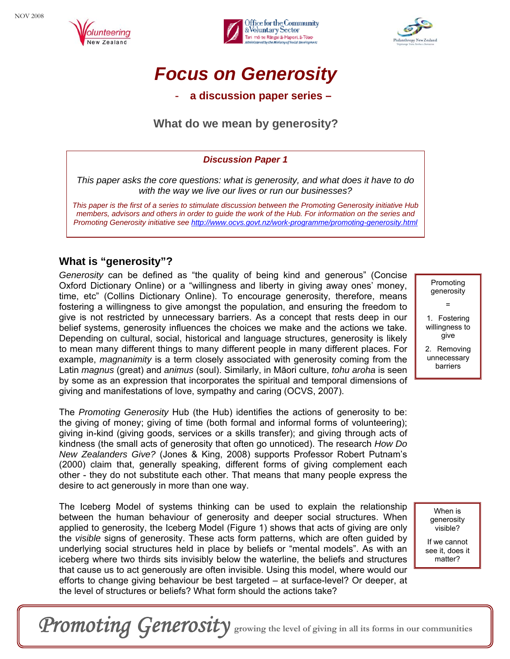





# *Focus on Generosity*

- **a discussion paper series –** 

## **What do we mean by generosity?**

#### *Discussion Paper 1*

*This paper asks the core questions: what is generosity, and what does it have to do with the way we live our lives or run our businesses?*

*This paper is the first of a series to stimulate discussion between the Promoting Generosity initiative Hub members, advisors and others in order to guide the work of the Hub. For information on the series and Promoting Generosity initiative see <http://www.ocvs.govt.nz/work-programme/promoting-generosity.html>*

### **What is "generosity"?**

*Generosity* can be defined as "the quality of being kind and generous" (Concise Oxford Dictionary Online) or a "willingness and liberty in giving away ones' money, time, etc" (Collins Dictionary Online). To encourage generosity, therefore, means fostering a willingness to give amongst the population, and ensuring the freedom to give is not restricted by unnecessary barriers. As a concept that rests deep in our belief systems, generosity influences the choices we make and the actions we take. Depending on cultural, social, historical and language structures, generosity is likely to mean many different things to many different people in many different places. For example, *magnanimity* is a term closely associated with generosity coming from the Latin *magnus* (great) and *animus* (soul). Similarly, in Māori culture, *tohu aroha* is seen by some as an expression that incorporates the spiritual and temporal dimensions of giving and manifestations of love, sympathy and caring (OCVS, 2007).

The *Promoting Generosity* Hub (the Hub) identifies the actions of generosity to be: the giving of money; giving of time (both formal and informal forms of volunteering); giving in-kind (giving goods, services or a skills transfer); and giving through acts of kindness (the small acts of generosity that often go unnoticed). The research *How Do New Zealanders Give?* (Jones & King, 2008) supports Professor Robert Putnam's (2000) claim that, generally speaking, different forms of giving complement each other - they do not substitute each other. That means that many people express the desire to act generously in more than one way.

The Iceberg Model of systems thinking can be used to explain the relationship between the human behaviour of generosity and deeper social structures. When applied to generosity, the Iceberg Model (Figure 1) shows that acts of giving are only the *visible* signs of generosity. These acts form patterns, which are often guided by underlying social structures held in place by beliefs or "mental models". As with an iceberg where two thirds sits invisibly below the waterline, the beliefs and structures that cause us to act generously are often invisible. Using this model, where would our efforts to change giving behaviour be best targeted – at surface-level? Or deeper, at the level of structures or beliefs? What form should the actions take?

Promoting generosity = 1. Fostering

willingness to give

2. Removing unnecessary barriers

> When is generosity visible?

If we cannot see it, does it matter?

Promoting Generosity growing the level of giving in all its forms in our communities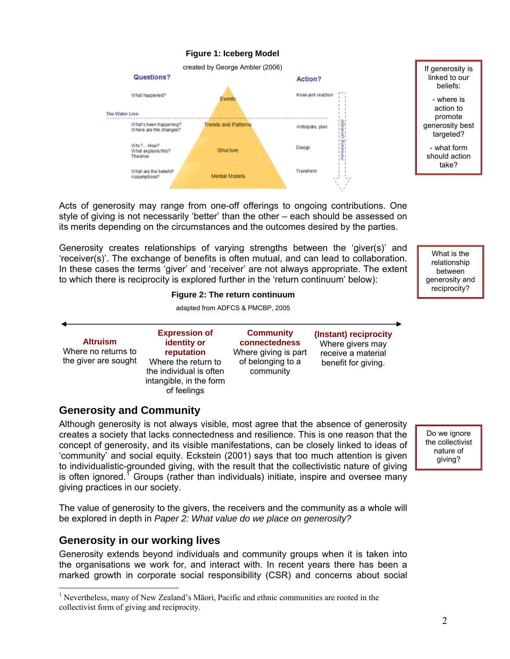

Acts of generosity may range from one-off offerings to ongoing contributions. One style of giving is not necessarily 'better' than the other – each should be assessed on its merits depending on the circumstances and the outcomes desired by the parties.

Generosity creates relationships of varying strengths between the 'giver(s)' and 'receiver(s)'. The exchange of benefits is often mutual, and can lead to collaboration. In these cases the terms 'giver' and 'receiver' are not always appropriate. The extent to which there is reciprocity is explored further in the 'return continuum' below):

## **Figure 2: The return continuum**

adapted from ADFCS & PMCBP, 2005

| <b>Altruism</b><br>Where no returns to<br>the giver are sought | <b>Expression of</b><br>identity or<br>reputation<br>Where the return to<br>the individual is often<br>intangible, in the form<br>of feelings | <b>Community</b><br>connectedness<br>Where giving is part<br>of belonging to a<br>community | (Instant) reciprocity<br>Where givers may<br>receive a material<br>benefit for giving. |
|----------------------------------------------------------------|-----------------------------------------------------------------------------------------------------------------------------------------------|---------------------------------------------------------------------------------------------|----------------------------------------------------------------------------------------|
|                                                                |                                                                                                                                               |                                                                                             |                                                                                        |

#### **Generosity and Community**

Although generosity is not always visible, most agree that the absence of generosity creates a society that lacks connectedness and resilience. This is one reason that the concept of generosity, and its visible manifestations, can be closely linked to ideas of 'community' and social equity. Eckstein (2001) says that too much attention is given to individualistic-grounded giving, with the result that the collectivistic nature of giving is often ignored.<sup>[1](#page-1-0)</sup> Groups (rather than individuals) initiate, inspire and oversee many giving practices in our society.

Do we ignore the collectivist nature of giving?

The value of generosity to the givers, the receivers and the community as a whole will be explored in depth in *Paper 2: What value do we place on generosity?*

#### **Generosity in our working lives**

 $\overline{a}$ 

Generosity extends beyond individuals and community groups when it is taken into the organisations we work for, and interact with. In recent years there has been a marked growth in corporate social responsibility (CSR) and concerns about social

What is the relationship between generosity and

<span id="page-1-0"></span><sup>&</sup>lt;sup>1</sup> Nevertheless, many of New Zealand's Māori, Pacific and ethnic communities are rooted in the collectivist form of giving and reciprocity.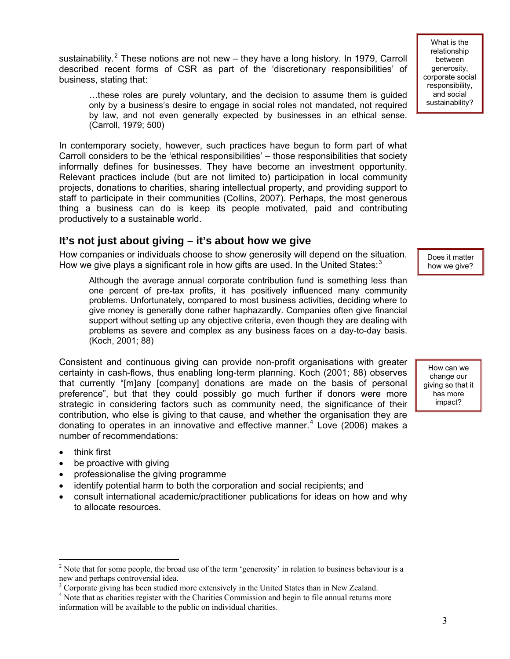sustainability.<sup>[2](#page-2-0)</sup> These notions are not new – they have a long history. In 1979, Carroll described recent forms of CSR as part of the 'discretionary responsibilities' of business, stating that:

…these roles are purely voluntary, and the decision to assume them is guided only by a business's desire to engage in social roles not mandated, not required by law, and not even generally expected by businesses in an ethical sense. (Carroll, 1979; 500)

In contemporary society, however, such practices have begun to form part of what Carroll considers to be the 'ethical responsibilities' – those responsibilities that society informally defines for businesses. They have become an investment opportunity. Relevant practices include (but are not limited to) participation in local community projects, donations to charities, sharing intellectual property, and providing support to staff to participate in their communities (Collins, 2007). Perhaps, the most generous thing a business can do is keep its people motivated, paid and contributing productively to a sustainable world.

#### **It's not just about giving – it's about how we give**

How companies or individuals choose to show generosity will depend on the situation. How we give plays a significant role in how gifts are used. In the United States: $3$ 

Although the average annual corporate contribution fund is something less than one percent of pre-tax profits, it has positively influenced many community problems. Unfortunately, compared to most business activities, deciding where to give money is generally done rather haphazardly. Companies often give financial support without setting up any objective criteria, even though they are dealing with problems as severe and complex as any business faces on a day-to-day basis. (Koch, 2001; 88)

Consistent and continuous giving can provide non-profit organisations with greater certainty in cash-flows, thus enabling long-term planning. Koch (2001; 88) observes that currently "[m]any [company] donations are made on the basis of personal preference", but that they could possibly go much further if donors were more strategic in considering factors such as community need, the significance of their contribution, who else is giving to that cause, and whether the organisation they are donating to operates in an innovative and effective manner.<sup>[4](#page-2-2)</sup> Love (2006) makes a number of recommendations:

 $\overline{a}$ 

- think first
- be proactive with giving
- professionalise the giving programme
- identify potential harm to both the corporation and social recipients; and
- consult international academic/practitioner publications for ideas on how and why to allocate resources.

Does it matter how we give?

How can we change our giving so that it has more impact?

<span id="page-2-0"></span><sup>&</sup>lt;sup>2</sup> Note that for some people, the broad use of the term 'generosity' in relation to business behaviour is a new and perhaps controversial idea.

<sup>&</sup>lt;sup>3</sup> Corporate giving has been studied more extensively in the United States than in New Zealand.  $4^4$  Note that as charities register with the Charities Commission and begin to file annual returns m

<span id="page-2-2"></span><span id="page-2-1"></span><sup>&</sup>lt;sup>4</sup> Note that as charities register with the Charities Commission and begin to file annual returns more information will be available to the public on individual charities.